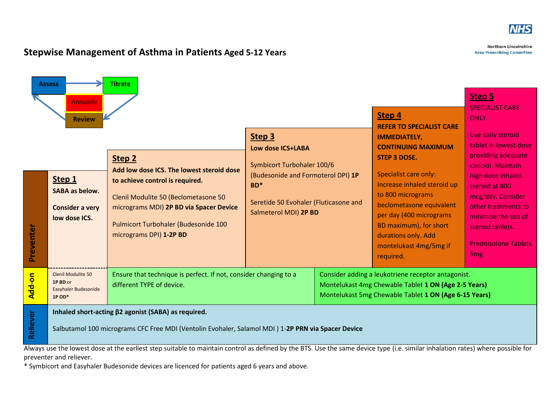

**Northern Lincolnshire Area Prescribing Committee** 

## **Stepwise Management of Asthma in Patients Aged 5-12 Years**

| Preventer | <b>Assess</b><br><b>Annually</b><br><b>Review</b><br>Step 1<br><b>SABA as below.</b><br><b>Consider a very</b><br>low dose ICS.                                                                                                                                                                                                                     | <b>Titrate</b><br>Step 2<br>Add low dose ICS. The lowest steroid dose<br>to achieve control is required.<br>Clenil Modulite 50 (Beclometasone 50<br>micrograms MDI) 2P BD via Spacer Device<br>Pulmicort Turbohaler (Budesonide 100<br>micrograms DPI) 1-2P BD | Step 3<br><b>Low dose ICS+LABA</b><br><b>Symbicort Turbohaler 100/6</b><br>(Budesonide and Formoterol DPI) 1P<br>BD <sup>*</sup><br>Seretide 50 Evohaler (Fluticasone and<br>Salmeterol MDI) 2P BD |  | Step 4<br><b>REFER TO SPECIALIST CARE</b><br><b>IMMEDIATELY,</b><br><b>CONTINUING MAXIMUM</b><br><b>STEP 3 DOSE.</b><br><b>Specialist care only:</b><br>Increase inhaled steroid up<br>to 800 micrograms<br>beclometasone equivalent<br>per day (400 micrograms<br>BD maximum), for short<br>durations only. Add<br>montelukast 4mg/5mg if<br>required. | Step 5<br><b>SPECIALIST CARE</b><br><b>ONLY</b><br>Use daily steroid<br>tablet in lowest dose<br>providing adequate<br>control. Maintain<br>high dose inhaled<br>steroid at 800<br>mcg/day. Consider<br>other treatments to<br>minimise the use of<br>steroid tablets.<br><b>Prednisolone Tablets</b><br>5 <sub>mg</sub> |  |
|-----------|-----------------------------------------------------------------------------------------------------------------------------------------------------------------------------------------------------------------------------------------------------------------------------------------------------------------------------------------------------|----------------------------------------------------------------------------------------------------------------------------------------------------------------------------------------------------------------------------------------------------------------|----------------------------------------------------------------------------------------------------------------------------------------------------------------------------------------------------|--|---------------------------------------------------------------------------------------------------------------------------------------------------------------------------------------------------------------------------------------------------------------------------------------------------------------------------------------------------------|--------------------------------------------------------------------------------------------------------------------------------------------------------------------------------------------------------------------------------------------------------------------------------------------------------------------------|--|
| Add-on    | <b>Clenil Modulite 50</b><br>1P BD or<br>Easyhaler Budesonide<br>1P OD*                                                                                                                                                                                                                                                                             | different TYPE of device.                                                                                                                                                                                                                                      | Ensure that technique is perfect. If not, consider changing to a                                                                                                                                   |  | Consider adding a leukotriene receptor antagonist.<br>Montelukast 4mg Chewable Tablet 1 ON (Age 2-5 Years)<br>Montelukast 5mg Chewable Tablet 1 ON (Age 6-15 Years)                                                                                                                                                                                     |                                                                                                                                                                                                                                                                                                                          |  |
| Reliever  | Inhaled short-acting $\beta$ 2 agonist (SABA) as required.<br>Salbutamol 100 micrograms CFC Free MDI (Ventolin Evohaler, Salamol MDI) 1-2P PRN via Spacer Device<br>Always use the lowest dose at the earliest step suitable to maintain control as defined by the BTS. Use the same device type (i.e. similar inhalation rates) where possible for |                                                                                                                                                                                                                                                                |                                                                                                                                                                                                    |  |                                                                                                                                                                                                                                                                                                                                                         |                                                                                                                                                                                                                                                                                                                          |  |

preventer and reliever.

\* Symbicort and Easyhaler Budesonide devices are licenced for patients aged 6 years and above.